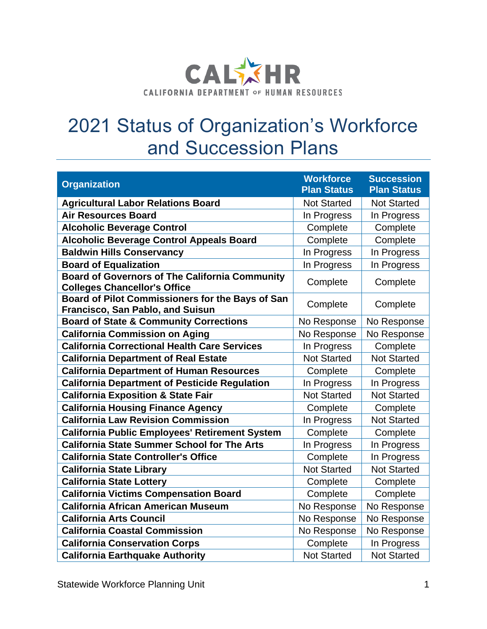

## 2021 Status of Organization's Workforce and Succession Plans

| <b>Organization</b>                                                                          | <b>Workforce</b><br><b>Plan Status</b> | <b>Succession</b><br><b>Plan Status</b> |
|----------------------------------------------------------------------------------------------|----------------------------------------|-----------------------------------------|
| <b>Agricultural Labor Relations Board</b>                                                    | <b>Not Started</b>                     | <b>Not Started</b>                      |
| <b>Air Resources Board</b>                                                                   | In Progress                            | In Progress                             |
| <b>Alcoholic Beverage Control</b>                                                            | Complete                               | Complete                                |
| <b>Alcoholic Beverage Control Appeals Board</b>                                              | Complete                               | Complete                                |
| <b>Baldwin Hills Conservancy</b>                                                             | In Progress                            | In Progress                             |
| <b>Board of Equalization</b>                                                                 | In Progress                            | In Progress                             |
| <b>Board of Governors of The California Community</b><br><b>Colleges Chancellor's Office</b> | Complete                               | Complete                                |
| Board of Pilot Commissioners for the Bays of San<br>Francisco, San Pablo, and Suisun         | Complete                               | Complete                                |
| <b>Board of State &amp; Community Corrections</b>                                            | No Response                            | No Response                             |
| <b>California Commission on Aging</b>                                                        | No Response                            | No Response                             |
| <b>California Correctional Health Care Services</b>                                          | In Progress                            | Complete                                |
| <b>California Department of Real Estate</b>                                                  | <b>Not Started</b>                     | <b>Not Started</b>                      |
| <b>California Department of Human Resources</b>                                              | Complete                               | Complete                                |
| <b>California Department of Pesticide Regulation</b>                                         | In Progress                            | In Progress                             |
| <b>California Exposition &amp; State Fair</b>                                                | <b>Not Started</b>                     | <b>Not Started</b>                      |
| <b>California Housing Finance Agency</b>                                                     | Complete                               | Complete                                |
| <b>California Law Revision Commission</b>                                                    | In Progress                            | <b>Not Started</b>                      |
| <b>California Public Employees' Retirement System</b>                                        | Complete                               | Complete                                |
| <b>California State Summer School for The Arts</b>                                           | In Progress                            | In Progress                             |
| <b>California State Controller's Office</b>                                                  | Complete                               | In Progress                             |
| <b>California State Library</b>                                                              | <b>Not Started</b>                     | <b>Not Started</b>                      |
| <b>California State Lottery</b>                                                              | Complete                               | Complete                                |
| <b>California Victims Compensation Board</b>                                                 | Complete                               | Complete                                |
| <b>California African American Museum</b>                                                    | No Response                            | No Response                             |
| <b>California Arts Council</b>                                                               | No Response                            | No Response                             |
| <b>California Coastal Commission</b>                                                         | No Response                            | No Response                             |
| <b>California Conservation Corps</b>                                                         | Complete                               | In Progress                             |
| <b>California Earthquake Authority</b>                                                       | <b>Not Started</b>                     | <b>Not Started</b>                      |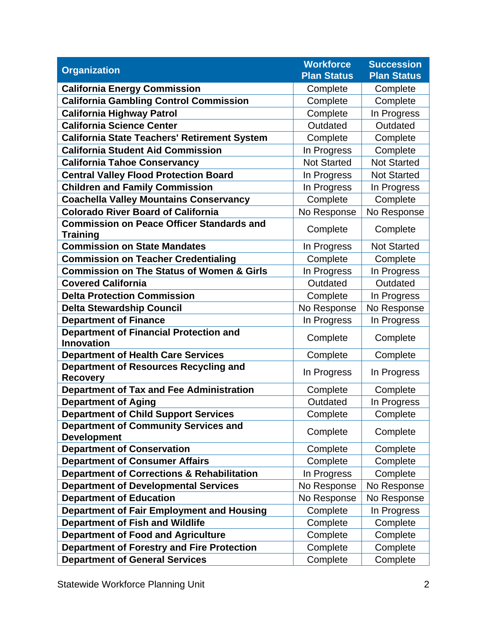| <b>Organization</b>                                                 | <b>Workforce</b><br><b>Plan Status</b> | <b>Succession</b><br><b>Plan Status</b> |
|---------------------------------------------------------------------|----------------------------------------|-----------------------------------------|
| <b>California Energy Commission</b>                                 | Complete                               | Complete                                |
| <b>California Gambling Control Commission</b>                       | Complete                               | Complete                                |
| <b>California Highway Patrol</b>                                    | Complete                               | In Progress                             |
| <b>California Science Center</b>                                    | Outdated                               | Outdated                                |
| <b>California State Teachers' Retirement System</b>                 | Complete                               | Complete                                |
| <b>California Student Aid Commission</b>                            | In Progress                            | Complete                                |
| <b>California Tahoe Conservancy</b>                                 | <b>Not Started</b>                     | <b>Not Started</b>                      |
| <b>Central Valley Flood Protection Board</b>                        | In Progress                            | <b>Not Started</b>                      |
| <b>Children and Family Commission</b>                               | In Progress                            | In Progress                             |
| <b>Coachella Valley Mountains Conservancy</b>                       | Complete                               | Complete                                |
| <b>Colorado River Board of California</b>                           | No Response                            | No Response                             |
| <b>Commission on Peace Officer Standards and</b><br><b>Training</b> | Complete                               | Complete                                |
| <b>Commission on State Mandates</b>                                 | In Progress                            | <b>Not Started</b>                      |
| <b>Commission on Teacher Credentialing</b>                          | Complete                               | Complete                                |
| <b>Commission on The Status of Women &amp; Girls</b>                | In Progress                            | In Progress                             |
| <b>Covered California</b>                                           | Outdated                               | Outdated                                |
| <b>Delta Protection Commission</b>                                  | Complete                               | In Progress                             |
| <b>Delta Stewardship Council</b>                                    | No Response                            | No Response                             |
| <b>Department of Finance</b>                                        | In Progress                            | In Progress                             |
| <b>Department of Financial Protection and</b><br><b>Innovation</b>  | Complete                               | Complete                                |
| <b>Department of Health Care Services</b>                           | Complete                               | Complete                                |
| <b>Department of Resources Recycling and</b><br><b>Recovery</b>     | In Progress                            | In Progress                             |
| <b>Department of Tax and Fee Administration</b>                     | Complete                               | Complete                                |
| <b>Department of Aging</b>                                          | Outdated                               | In Progress                             |
| <b>Department of Child Support Services</b>                         | Complete                               | Complete                                |
| <b>Department of Community Services and</b><br><b>Development</b>   | Complete                               | Complete                                |
| <b>Department of Conservation</b>                                   | Complete                               | Complete                                |
| <b>Department of Consumer Affairs</b>                               | Complete                               | Complete                                |
| <b>Department of Corrections &amp; Rehabilitation</b>               | In Progress                            | Complete                                |
| <b>Department of Developmental Services</b>                         | No Response                            | No Response                             |
| <b>Department of Education</b>                                      | No Response                            | No Response                             |
| Department of Fair Employment and Housing                           | Complete                               | In Progress                             |
| <b>Department of Fish and Wildlife</b>                              | Complete                               | Complete                                |
| <b>Department of Food and Agriculture</b>                           | Complete                               | Complete                                |
| <b>Department of Forestry and Fire Protection</b>                   | Complete                               | Complete                                |
| <b>Department of General Services</b>                               | Complete                               | Complete                                |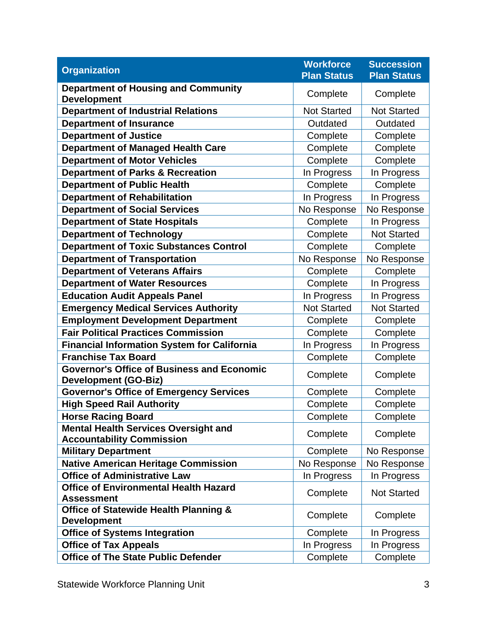| <b>Organization</b>                                                              | <b>Workforce</b><br><b>Plan Status</b> | <b>Succession</b><br><b>Plan Status</b> |
|----------------------------------------------------------------------------------|----------------------------------------|-----------------------------------------|
| <b>Department of Housing and Community</b><br><b>Development</b>                 | Complete                               | Complete                                |
| <b>Department of Industrial Relations</b>                                        | <b>Not Started</b>                     | <b>Not Started</b>                      |
| <b>Department of Insurance</b>                                                   | Outdated                               | Outdated                                |
| <b>Department of Justice</b>                                                     | Complete                               | Complete                                |
| <b>Department of Managed Health Care</b>                                         | Complete                               | Complete                                |
| <b>Department of Motor Vehicles</b>                                              | Complete                               | Complete                                |
| <b>Department of Parks &amp; Recreation</b>                                      | In Progress                            | In Progress                             |
| <b>Department of Public Health</b>                                               | Complete                               | Complete                                |
| <b>Department of Rehabilitation</b>                                              | In Progress                            | In Progress                             |
| <b>Department of Social Services</b>                                             | No Response                            | No Response                             |
| <b>Department of State Hospitals</b>                                             | Complete                               | In Progress                             |
| <b>Department of Technology</b>                                                  | Complete                               | <b>Not Started</b>                      |
| <b>Department of Toxic Substances Control</b>                                    | Complete                               | Complete                                |
| <b>Department of Transportation</b>                                              | No Response                            | No Response                             |
| <b>Department of Veterans Affairs</b>                                            | Complete                               | Complete                                |
| <b>Department of Water Resources</b>                                             | Complete                               | In Progress                             |
| <b>Education Audit Appeals Panel</b>                                             | In Progress                            | In Progress                             |
| <b>Emergency Medical Services Authority</b>                                      | <b>Not Started</b>                     | <b>Not Started</b>                      |
| <b>Employment Development Department</b>                                         | Complete                               | Complete                                |
| <b>Fair Political Practices Commission</b>                                       | Complete                               | Complete                                |
| <b>Financial Information System for California</b>                               | In Progress                            | In Progress                             |
| <b>Franchise Tax Board</b>                                                       | Complete                               | Complete                                |
| <b>Governor's Office of Business and Economic</b><br><b>Development (GO-Biz)</b> | Complete                               | Complete                                |
| <b>Governor's Office of Emergency Services</b>                                   | Complete                               | Complete                                |
| <b>High Speed Rail Authority</b>                                                 | Complete                               | Complete                                |
| <b>Horse Racing Board</b>                                                        | Complete                               | Complete                                |
| <b>Mental Health Services Oversight and</b><br><b>Accountability Commission</b>  | Complete                               | Complete                                |
| <b>Military Department</b>                                                       | Complete                               | No Response                             |
| <b>Native American Heritage Commission</b>                                       | No Response                            | No Response                             |
| <b>Office of Administrative Law</b>                                              | In Progress                            | In Progress                             |
| <b>Office of Environmental Health Hazard</b><br><b>Assessment</b>                | Complete                               | <b>Not Started</b>                      |
| <b>Office of Statewide Health Planning &amp;</b><br><b>Development</b>           | Complete                               | Complete                                |
| <b>Office of Systems Integration</b>                                             | Complete                               | In Progress                             |
| <b>Office of Tax Appeals</b>                                                     | In Progress                            | In Progress                             |
| <b>Office of The State Public Defender</b>                                       | Complete                               | Complete                                |